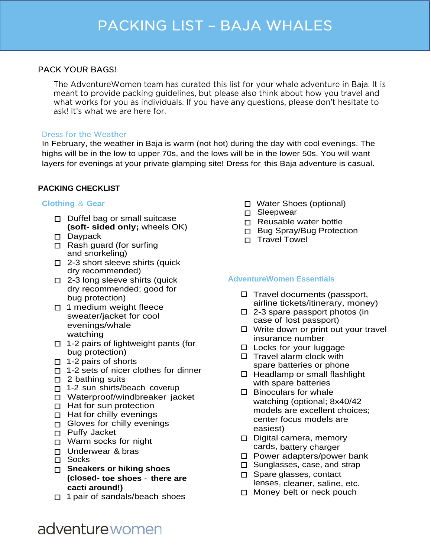## **PACK YOUR BAGS!**

The AdventureWomen team has curated this list for your whale adventure in Baja. It is meant to provide packing guidelines, but please also think about how you travel and what works for you as individuals. If you have any questions, please don't hesitate to ask! It's what we are here for.

### **Dress for the Weather**

In February, the weather in Baja is warm (not hot) during the day with cool evenings. The highs will be in the low to upper 70s, and the lows will be in the lower 50s. You will want layers for evenings at your private glamping site! Dress for this Baja adventure is casual.

## **PACKING CHECKLIST**

### **Clothing** & **Gear**

- $\Box$  Duffel bag or small suitcase **(soft- sided only;** wheels OK)
- Daypack
- $\Box$  Rash guard (for surfing and snorkeling)
- $\Box$  2-3 short sleeve shirts (quick dry recommended)
- □ 2-3 long sleeve shirts (quick dry recommended; good for bug protection)
- $\Box$  1 medium weight fleece sweater/jacket for cool evenings/whale watching
- $\Box$  1-2 pairs of lightweight pants (for bug protection)
- $\Box$  1-2 pairs of shorts
- $\Box$  1-2 sets of nicer clothes for dinner
- $\square$  2 bathing suits
- □ 1-2 sun shirts/beach coverup
- Waterproof/windbreaker jacket
- $\Box$  Hat for sun protection
- $\Box$  Hat for chilly evenings
- Gloves for chilly evenings
- p Puffy Jacket
- □ Warm socks for night
- Underwear & bras
- □ Socks
- **Sneakers or hiking shoes (closed- toe shoes** - **there are cacti around!)**
- $\Box$  1 pair of sandals/beach shoes
- Water Shoes (optional)
- □ Sleepwear
- $\Box$  Reusable water bottle
- □ Bug Spray/Bug Protection
- **n** Travel Towel

### **AdventureWomen Essentials**

- $\Box$  Travel documents (passport, airline tickets/itinerary, money)
- $\square$  2-3 spare passport photos (in case of lost passport)
- $\Box$  Write down or print out your travel insurance number
- □ Locks for your luggage
- $\Box$  Travel alarm clock with spare batteries or phone
- $\Box$  Headlamp or small flashlight with spare batteries
- $\square$  Binoculars for whale watching (optional; 8x40/42 models are excellent choices; center focus models are easiest)
- $\Box$  Digital camera, memory cards, battery charger
- □ Power adapters/power bank
- □ Sunglasses, case, and strap
- □ Spare glasses, contact lenses, cleaner, saline, etc.
- □ Money belt or neck pouch

# adventure women